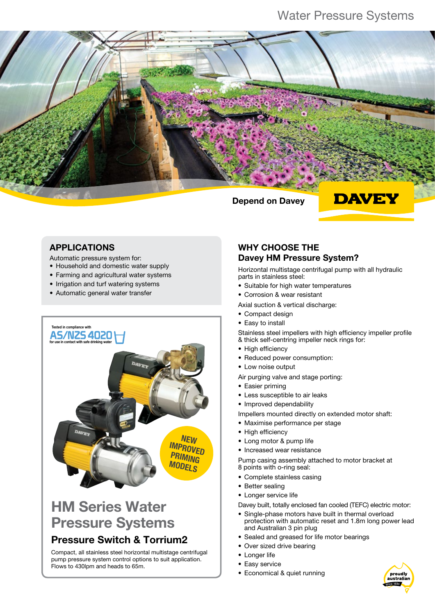## Water Pressure Systems



### APPLICATIONS

Automatic pressure system for:

- Household and domestic water supply
- Farming and agricultural water systems
- Irrigation and turf watering systems
- Automatic general water transfer



# HM Series Water Pressure Systems

### Pressure Switch & Torrium2

Compact, all stainless steel horizontal multistage centrifugal pump pressure system control options to suit application. Flows to 430lpm and heads to 65m.

### WHY CHOOSE THE Davey HM Pressure System?

Horizontal multistage centrifugal pump with all hydraulic parts in stainless steel:

- Suitable for high water temperatures
- Corrosion & wear resistant
- Axial suction & vertical discharge:
- Compact design
- Easy to install

Stainless steel impellers with high efficiency impeller profile & thick self-centring impeller neck rings for:

- High efficiency
- Reduced power consumption:
- Low noise output

Air purging valve and stage porting:

- Easier priming
- Less susceptible to air leaks
- Improved dependability

Impellers mounted directly on extended motor shaft:

- Maximise performance per stage
- High efficiency
- Long motor & pump life
- Increased wear resistance

Pump casing assembly attached to motor bracket at 8 points with o-ring seal:

- Complete stainless casing
- Better sealing
- Longer service life

Davey built, totally enclosed fan cooled (TEFC) electric motor:

- Single-phase motors have built in thermal overload protection with automatic reset and 1.8m long power lead and Australian 3 pin plug
- Sealed and greased for life motor bearings
- Over sized drive bearing
- Longer life
- Easy service
- Economical & quiet running

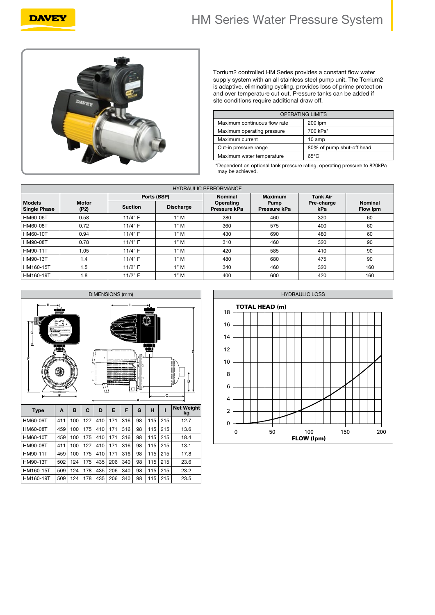# HM Series Water Pressure System



**DAVEY** 

Torrium2 controlled HM Series provides a constant flow water supply system with an all stainless steel pump unit. The Torrium2 is adaptive, eliminating cycling, provides loss of prime protection and over temperature cut out. Pressure tanks can be added if site conditions require additional draw off.

| <b>OPERATING LIMITS</b>      |                           |  |
|------------------------------|---------------------------|--|
| Maximum continuous flow rate | 200 lpm                   |  |
| Maximum operating pressure   | 700 kPa*                  |  |
| Maximum current              | 10 amp                    |  |
| Cut-in pressure range        | 80% of pump shut-off head |  |
| Maximum water temperature    | $65^{\circ}$ C            |  |

\*Dependent on optional tank pressure rating, operating pressure to 820kPa may be achieved.

| <b>HYDRAULIC PERFORMANCE</b>         |                      |                |                  |                           |                      |                   |                            |
|--------------------------------------|----------------------|----------------|------------------|---------------------------|----------------------|-------------------|----------------------------|
|                                      |                      | Ports (BSP)    |                  | <b>Nominal</b>            | <b>Maximum</b>       | <b>Tank Air</b>   |                            |
| <b>Models</b><br><b>Single Phase</b> | <b>Motor</b><br>(P2) | <b>Suction</b> | <b>Discharge</b> | Operating<br>Pressure kPa | Pump<br>Pressure kPa | Pre-charge<br>kPa | <b>Nominal</b><br>Flow Ipm |
| HM60-06T                             | 0.58                 | 11/4" F        | 1"M              | 280                       | 460                  | 320               | 60                         |
| HM60-08T                             | 0.72                 | 11/4" F        | 1"M              | 360                       | 575                  | 400               | 60                         |
| HM60-10T                             | 0.94                 | 11/4" F        | 1"M              | 430                       | 690                  | 480               | 60                         |
| <b>HM90-08T</b>                      | 0.78                 | 11/4" F        | 1"M              | 310                       | 460                  | 320               | 90                         |
| <b>HM90-11T</b>                      | 1.05                 | 11/4" F        | 1"M              | 420                       | 585                  | 410               | 90                         |
| <b>HM90-13T</b>                      | 1.4                  | 11/4" F        | 1"M              | 480                       | 680                  | 475               | 90                         |
| HM160-15T                            | 1.5                  | 11/2" F        | 1"M              | 340                       | 460                  | 320               | 160                        |
| HM160-19T                            | 1.8                  | 11/2" F        | 1"M              | 400                       | 600                  | 420               | 160                        |



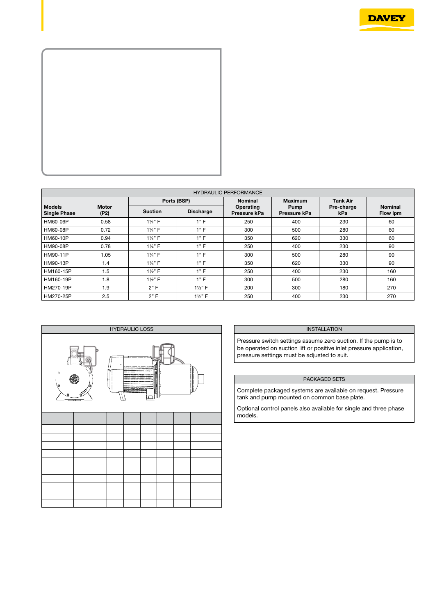



| <b>HYDRAULIC PERFORMANCE</b>         |                      |                      |                  |                           |                      |                   |                            |
|--------------------------------------|----------------------|----------------------|------------------|---------------------------|----------------------|-------------------|----------------------------|
|                                      |                      |                      | Ports (BSP)      | <b>Nominal</b>            | <b>Maximum</b>       | <b>Tank Air</b>   |                            |
| <b>Models</b><br><b>Single Phase</b> | <b>Motor</b><br>(P2) | <b>Suction</b>       | <b>Discharge</b> | Operating<br>Pressure kPa | Pump<br>Pressure kPa | Pre-charge<br>kPa | <b>Nominal</b><br>Flow Ipm |
| HM60-06P                             | 0.58                 | $1\frac{1}{4}$ " F   | 1"F              | 250                       | 400                  | 230               | 60                         |
| HM60-08P                             | 0.72                 | $1\frac{1}{4}$ " F   | 1"F              | 300                       | 500                  | 280               | 60                         |
| HM60-10P                             | 0.94                 | 11/ <sub>4</sub> " F | 1"F              | 350                       | 620                  | 330               | 60                         |
| HM90-08P                             | 0.78                 | 11/ <sub>4</sub> " F | 1"F              | 250                       | 400                  | 230               | 90                         |
| HM90-11P                             | 1.05                 | 11/ <sub>4</sub> " F | 1"F              | 300                       | 500                  | 280               | 90                         |
| HM90-13P                             | 1.4                  | 11/ <sub>4</sub> " F | 1"F              | 350                       | 620                  | 330               | 90                         |
| HM160-15P                            | 1.5                  | $1\frac{1}{2}$ " F   | 1"F              | 250                       | 400                  | 230               | 160                        |
| HM160-19P                            | 1.8                  | $1\frac{1}{2}$ " F   | 1"F              | 300                       | 500                  | 280               | 160                        |
| HM270-19P                            | 1.9                  | 2"F                  | $1\frac{1}{2}$ F | 200                       | 300                  | 180               | 270                        |
| HM270-25P                            | 2.5                  | 2"F                  | $1\frac{1}{2}$ F | 250                       | 400                  | 230               | 270                        |



#### **INSTALLATION**

Pressure switch settings assume zero suction. If the pump is to be operated on suction lift or positive inlet pressure application, pressure settings must be adjusted to suit.

#### PACKAGED SETS

Complete packaged systems are available on request. Pressure tank and pump mounted on common base plate.

Optional control panels also available for single and three phase models.